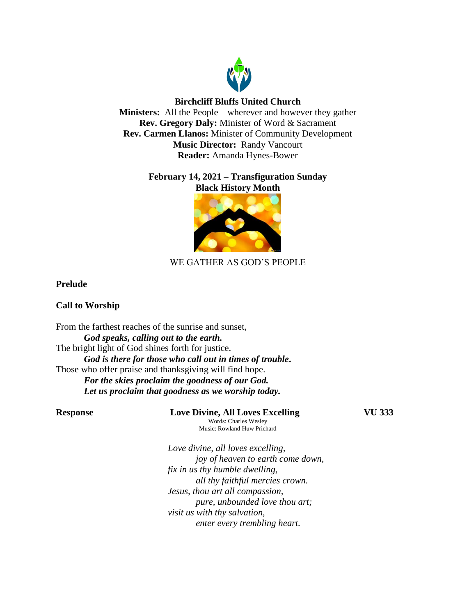

## **Birchcliff Bluffs United Church**

**Ministers:** All the People – wherever and however they gather **Rev. Gregory Daly:** Minister of Word & Sacrament **Rev. Carmen Llanos:** Minister of Community Development **Music Director:** Randy Vancourt **Reader:** Amanda Hynes-Bower

## **February 14, 2021 – Transfiguration Sunday Black History Month**



# WE GATHER AS GOD'S PEOPLE

## **Prelude**

## **Call to Worship**

From the farthest reaches of the sunrise and sunset, *God speaks, calling out to the earth.* The bright light of God shines forth for justice. *God is there for those who call out in times of trouble***.** Those who offer praise and thanksgiving will find hope. *For the skies proclaim the goodness of our God. Let us proclaim that goodness as we worship today.*

**Response Love Divine, All Loves Excelling VU 333** Words: Charles Wesley Music: Rowland Huw Prichard

*Love divine, all loves excelling, joy of heaven to earth come down, fix in us thy humble dwelling, all thy faithful mercies crown. Jesus, thou art all compassion, pure, unbounded love thou art; visit us with thy salvation, enter every trembling heart.*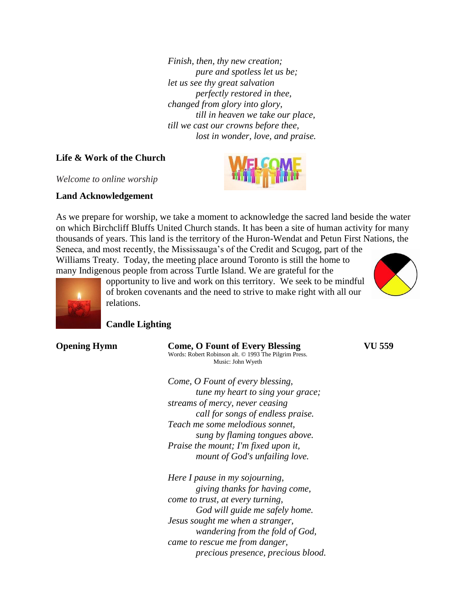*Finish, then, thy new creation; pure and spotless let us be; let us see thy great salvation perfectly restored in thee, changed from glory into glory, till in heaven we take our place, till we cast our crowns before thee, lost in wonder, love, and praise.*

#### **Life & Work of the Church**

*Welcome to online worship*

#### **Land Acknowledgement**

As we prepare for worship, we take a moment to acknowledge the sacred land beside the water on which Birchcliff Bluffs United Church stands. It has been a site of human activity for many thousands of years. This land is the territory of the Huron-Wendat and Petun First Nations, the Seneca, and most recently, the Mississauga's of the Credit and Scugog, part of the

Williams Treaty. Today, the meeting place around Toronto is still the home to many Indigenous people from across Turtle Island. We are grateful for the







opportunity to live and work on this territory. We seek to be mindful of broken covenants and the need to strive to make right with all our relations.

### **Candle Lighting**

| <b>Opening Hymn</b> |  |
|---------------------|--|
|---------------------|--|

**Come, O** Fount of Every Blessing **VU 559** Words: Robert Robinson alt. © 1993 The Pilgrim Press. Music: John Wyeth

*Come, O Fount of every blessing, tune my heart to sing your grace; streams of mercy, never ceasing call for songs of endless praise. Teach me some melodious sonnet, sung by flaming tongues above. Praise the mount; I'm fixed upon it, mount of God's unfailing love.*

*Here I pause in my sojourning, giving thanks for having come, come to trust, at every turning, God will guide me safely home. Jesus sought me when a stranger, wandering from the fold of God, came to rescue me from danger, precious presence, precious blood.*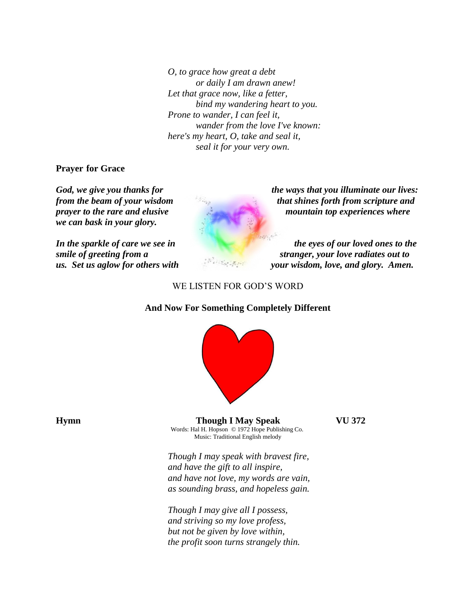*O, to grace how great a debt or daily I am drawn anew! Let that grace now, like a fetter, bind my wandering heart to you. Prone to wander, I can feel it, wander from the love I've known: here's my heart, O, take and seal it, seal it for your very own.*

**Prayer for Grace**

*we can bask in your glory.* 



*God, we give you thanks for the ways that you illuminate our lives: from the beam of your wisdom* that shines forth from scripture and **that shines** forth from scripture and *prayer to the rare and elusive* mountain top experiences where *prayer to the rare and elusive* 

*In the sparkle of care we see in* the eyes of our loved ones to the sparkle of care we see in *smile of greeting from a* stranger, your love radiates out to *stranger*, your love radiates out to *us. Set us aglow for others with your wisdom, love, and glory. Amen.*

### WE LISTEN FOR GOD'S WORD

#### **And Now For Something Completely Different**



**Hymn Though I May Speak VU 372**

Words: Hal H. Hopson © 1972 Hope Publishing Co. Music: Traditional English melody

*Though I may speak with bravest fire, and have the gift to all inspire, and have not love, my words are vain, as sounding brass, and hopeless gain.*

*Though I may give all I possess, and striving so my love profess, but not be given by love within, the profit soon turns strangely thin.*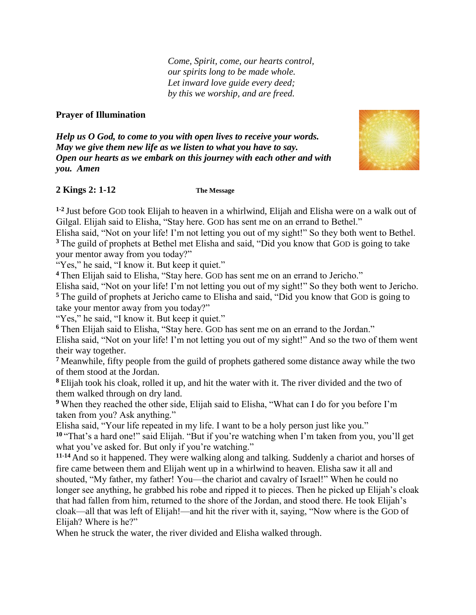*Come, Spirit, come, our hearts control, our spirits long to be made whole. Let inward love guide every deed; by this we worship, and are freed.*

## **Prayer of Illumination**

*Help us O God, to come to you with open lives to receive your words. May we give them new life as we listen to what you have to say. Open our hearts as we embark on this journey with each other and with you. Amen*



## **2 Kings 2: 1-12 The Message**

**1-2** Just before GOD took Elijah to heaven in a whirlwind, Elijah and Elisha were on a walk out of Gilgal. Elijah said to Elisha, "Stay here. GOD has sent me on an errand to Bethel."

Elisha said, "Not on your life! I'm not letting you out of my sight!" So they both went to Bethel. **<sup>3</sup>** The guild of prophets at Bethel met Elisha and said, "Did you know that GOD is going to take your mentor away from you today?"

"Yes," he said, "I know it. But keep it quiet."

**<sup>4</sup>** Then Elijah said to Elisha, "Stay here. GOD has sent me on an errand to Jericho."

Elisha said, "Not on your life! I'm not letting you out of my sight!" So they both went to Jericho.

**<sup>5</sup>** The guild of prophets at Jericho came to Elisha and said, "Did you know that GOD is going to take your mentor away from you today?"

"Yes," he said, "I know it. But keep it quiet."

**<sup>6</sup>** Then Elijah said to Elisha, "Stay here. GOD has sent me on an errand to the Jordan." Elisha said, "Not on your life! I'm not letting you out of my sight!" And so the two of them went their way together.

**<sup>7</sup>** Meanwhile, fifty people from the guild of prophets gathered some distance away while the two of them stood at the Jordan.

**<sup>8</sup>** Elijah took his cloak, rolled it up, and hit the water with it. The river divided and the two of them walked through on dry land.

**<sup>9</sup>** When they reached the other side, Elijah said to Elisha, "What can I do for you before I'm taken from you? Ask anything."

Elisha said, "Your life repeated in my life. I want to be a holy person just like you."

**<sup>10</sup>** "That's a hard one!" said Elijah. "But if you're watching when I'm taken from you, you'll get what you've asked for. But only if you're watching."

**11-14** And so it happened. They were walking along and talking. Suddenly a chariot and horses of fire came between them and Elijah went up in a whirlwind to heaven. Elisha saw it all and shouted, "My father, my father! You—the chariot and cavalry of Israel!" When he could no longer see anything, he grabbed his robe and ripped it to pieces. Then he picked up Elijah's cloak that had fallen from him, returned to the shore of the Jordan, and stood there. He took Elijah's cloak—all that was left of Elijah!—and hit the river with it, saying, "Now where is the GOD of Elijah? Where is he?"

When he struck the water, the river divided and Elisha walked through.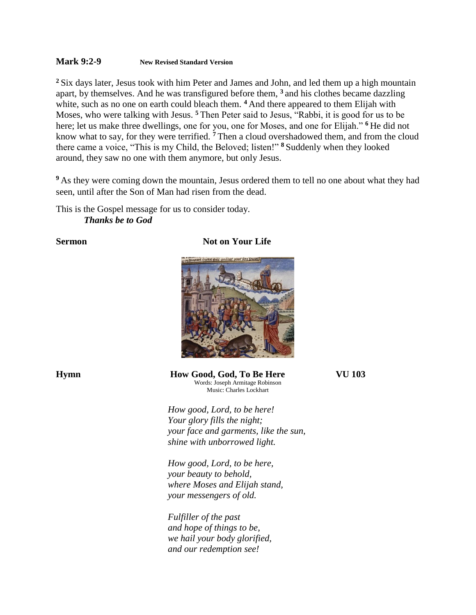#### **Mark 9:2-9 New Revised Standard Version**

**<sup>2</sup>** Six days later, Jesus took with him Peter and James and John, and led them up a high mountain apart, by themselves. And he was transfigured before them, **<sup>3</sup>** and his clothes became dazzling white, such as no one on earth could bleach them. <sup>4</sup> And there appeared to them Elijah with Moses, who were talking with Jesus. **<sup>5</sup>** Then Peter said to Jesus, "Rabbi, it is good for us to be here; let us make three dwellings, one for you, one for Moses, and one for Elijah." **<sup>6</sup>** He did not know what to say, for they were terrified. **<sup>7</sup>** Then a cloud overshadowed them, and from the cloud there came a voice, "This is my Child, the Beloved; listen!" **<sup>8</sup>** Suddenly when they looked around, they saw no one with them anymore, but only Jesus.

<sup>9</sup> As they were coming down the mountain, Jesus ordered them to tell no one about what they had seen, until after the Son of Man had risen from the dead.

This is the Gospel message for us to consider today. *Thanks be to God*

#### **Sermon** Not on Your Life



**Hymn How Good, God, To Be Here VU 103** Words: Joseph Armitage Robinson Music: Charles Lockhart

> *How good, Lord, to be here! Your glory fills the night; your face and garments, like the sun, shine with unborrowed light.*

*How good, Lord, to be here, your beauty to behold, where Moses and Elijah stand, your messengers of old.*

*Fulfiller of the past and hope of things to be, we hail your body glorified, and our redemption see!*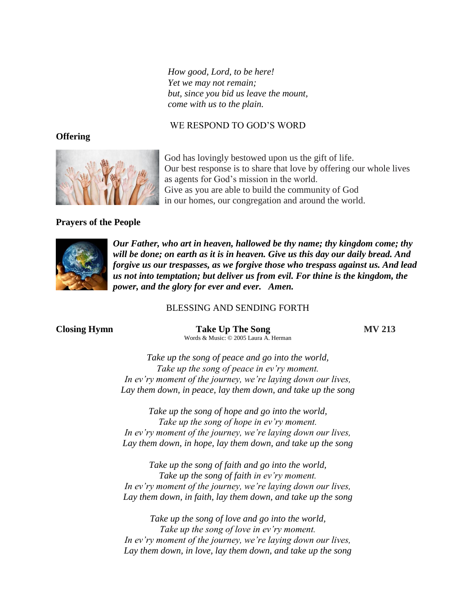*How good, Lord, to be here! Yet we may not remain; but, since you bid us leave the mount, come with us to the plain.*

### WE RESPOND TO GOD'S WORD

### **Offering**



God has lovingly bestowed upon us the gift of life. Our best response is to share that love by offering our whole lives as agents for God's mission in the world. Give as you are able to build the community of God in our homes, our congregation and around the world.

## **Prayers of the People**



*Our Father, who art in heaven, hallowed be thy name; thy kingdom come; thy will be done; on earth as it is in heaven. Give us this day our daily bread. And forgive us our trespasses, as we forgive those who trespass against us. And lead us not into temptation; but deliver us from evil. For thine is the kingdom, the power, and the glory for ever and ever. Amen.*

#### BLESSING AND SENDING FORTH

**Closing Hymn Take Up The Song MV 213** Words & Music: © 2005 Laura A. Herman

*Take up the song of peace and go into the world, Take up the song of peace in ev'ry moment. In ev'ry moment of the journey, we're laying down our lives, Lay them down, in peace, lay them down, and take up the song*

*Take up the song of hope and go into the world, Take up the song of hope in ev'ry moment. In ev'ry moment of the journey, we're laying down our lives, Lay them down, in hope, lay them down, and take up the song*

*Take up the song of faith and go into the world, Take up the song of faith in ev'ry moment. In ev'ry moment of the journey, we're laying down our lives, Lay them down, in faith, lay them down, and take up the song*

*Take up the song of love and go into the world, Take up the song of love in ev'ry moment. In ev'ry moment of the journey, we're laying down our lives, Lay them down, in love, lay them down, and take up the song*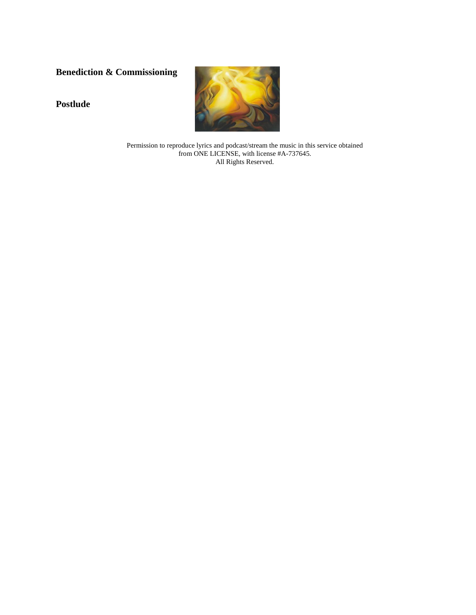# **Benediction & Commissioning**

**Postlude**



Permission to reproduce lyrics and podcast/stream the music in this service obtained from ONE LICENSE, with license #A-737645. All Rights Reserved.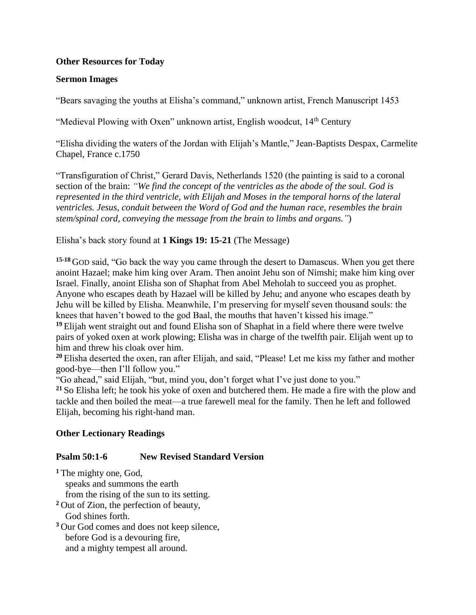## **Other Resources for Today**

## **Sermon Images**

"Bears savaging the youths at Elisha's command," unknown artist, French Manuscript 1453

"Medieval Plowing with Oxen" unknown artist, English woodcut, 14<sup>th</sup> Century

"Elisha dividing the waters of the Jordan with Elijah's Mantle," Jean-Baptists Despax, Carmelite Chapel, France c.1750

"Transfiguration of Christ," Gerard Davis, Netherlands 1520 (the painting is said to a coronal section of the brain: *"We find the concept of the ventricles as the abode of the soul. God is represented in the third ventricle, with Elijah and Moses in the temporal horns of the lateral ventricles. Jesus, conduit between the Word of God and the human race, resembles the brain stem/spinal cord, conveying the message from the brain to limbs and organs."*)

Elisha's back story found at **1 Kings 19: 15-21** (The Message)

**15-18** GOD said, "Go back the way you came through the desert to Damascus. When you get there anoint Hazael; make him king over Aram. Then anoint Jehu son of Nimshi; make him king over Israel. Finally, anoint Elisha son of Shaphat from Abel Meholah to succeed you as prophet. Anyone who escapes death by Hazael will be killed by Jehu; and anyone who escapes death by Jehu will be killed by Elisha. Meanwhile, I'm preserving for myself seven thousand souls: the knees that haven't bowed to the god Baal, the mouths that haven't kissed his image."

<sup>19</sup> Elijah went straight out and found Elisha son of Shaphat in a field where there were twelve pairs of yoked oxen at work plowing; Elisha was in charge of the twelfth pair. Elijah went up to him and threw his cloak over him.

**<sup>20</sup>** Elisha deserted the oxen, ran after Elijah, and said, "Please! Let me kiss my father and mother good-bye—then I'll follow you."

"Go ahead," said Elijah, "but, mind you, don't forget what I've just done to you."

**<sup>21</sup>** So Elisha left; he took his yoke of oxen and butchered them. He made a fire with the plow and tackle and then boiled the meat—a true farewell meal for the family. Then he left and followed Elijah, becoming his right-hand man.

## **Other Lectionary Readings**

## **Psalm 50:1-6 New Revised Standard Version**

**<sup>1</sup>** The mighty one, God,

speaks and summons the earth

from the rising of the sun to its setting.

**<sup>2</sup>** Out of Zion, the perfection of beauty, God shines forth.

**<sup>3</sup>** Our God comes and does not keep silence, before God is a devouring fire, and a mighty tempest all around.